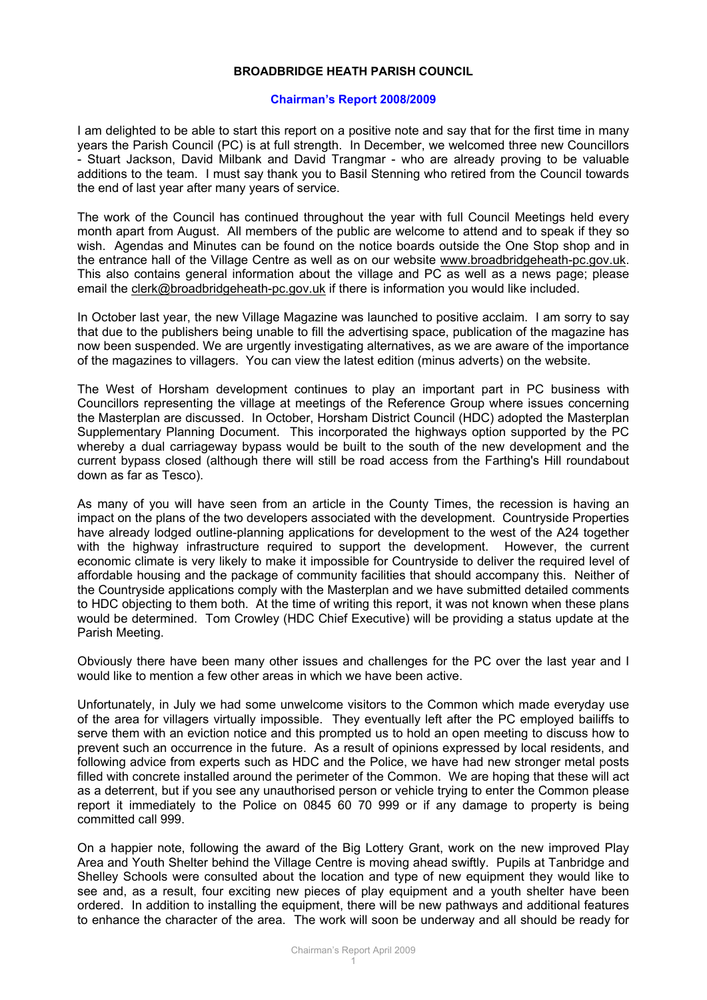## **BROADBRIDGE HEATH PARISH COUNCIL**

## **Chairman's Report 2008/2009**

I am delighted to be able to start this report on a positive note and say that for the first time in many years the Parish Council (PC) is at full strength. In December, we welcomed three new Councillors - Stuart Jackson, David Milbank and David Trangmar - who are already proving to be valuable additions to the team. I must say thank you to Basil Stenning who retired from the Council towards the end of last year after many years of service.

The work of the Council has continued throughout the year with full Council Meetings held every month apart from August. All members of the public are welcome to attend and to speak if they so wish. Agendas and Minutes can be found on the notice boards outside the One Stop shop and in the entrance hall of the Village Centre as well as on our website [www.broadbridgeheath-pc.gov.uk.](http://www.broadbridgeheath-pc.gov.uk/) This also contains general information about the village and PC as well as a news page; please email the [clerk@broadbridgeheath-pc.gov.uk](mailto:clerk@broadbridgeheath-pc.gov.uk) if there is information you would like included.

In October last year, the new Village Magazine was launched to positive acclaim. I am sorry to say that due to the publishers being unable to fill the advertising space, publication of the magazine has now been suspended. We are urgently investigating alternatives, as we are aware of the importance of the magazines to villagers. You can view the latest edition (minus adverts) on the website.

The West of Horsham development continues to play an important part in PC business with Councillors representing the village at meetings of the Reference Group where issues concerning the Masterplan are discussed. In October, Horsham District Council (HDC) adopted the Masterplan Supplementary Planning Document. This incorporated the highways option supported by the PC whereby a dual carriageway bypass would be built to the south of the new development and the current bypass closed (although there will still be road access from the Farthing's Hill roundabout down as far as Tesco).

As many of you will have seen from an article in the County Times, the recession is having an impact on the plans of the two developers associated with the development. Countryside Properties have already lodged outline-planning applications for development to the west of the A24 together with the highway infrastructure required to support the development. However, the current economic climate is very likely to make it impossible for Countryside to deliver the required level of affordable housing and the package of community facilities that should accompany this. Neither of the Countryside applications comply with the Masterplan and we have submitted detailed comments to HDC objecting to them both. At the time of writing this report, it was not known when these plans would be determined. Tom Crowley (HDC Chief Executive) will be providing a status update at the Parish Meeting.

Obviously there have been many other issues and challenges for the PC over the last year and I would like to mention a few other areas in which we have been active.

Unfortunately, in July we had some unwelcome visitors to the Common which made everyday use of the area for villagers virtually impossible. They eventually left after the PC employed bailiffs to serve them with an eviction notice and this prompted us to hold an open meeting to discuss how to prevent such an occurrence in the future. As a result of opinions expressed by local residents, and following advice from experts such as HDC and the Police, we have had new stronger metal posts filled with concrete installed around the perimeter of the Common. We are hoping that these will act as a deterrent, but if you see any unauthorised person or vehicle trying to enter the Common please report it immediately to the Police on 0845 60 70 999 or if any damage to property is being committed call 999.

On a happier note, following the award of the Big Lottery Grant, work on the new improved Play Area and Youth Shelter behind the Village Centre is moving ahead swiftly. Pupils at Tanbridge and Shelley Schools were consulted about the location and type of new equipment they would like to see and, as a result, four exciting new pieces of play equipment and a youth shelter have been ordered. In addition to installing the equipment, there will be new pathways and additional features to enhance the character of the area. The work will soon be underway and all should be ready for